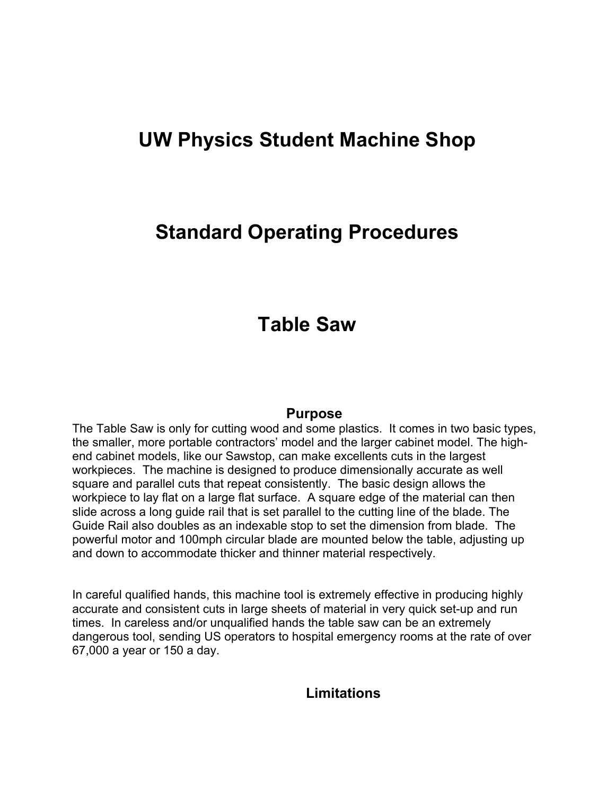# **UW Physics Student Machine Shop**

## **Standard Operating Procedures**

## **Table Saw**

#### **Purpose**

The Table Saw is only for cutting wood and some plastics. It comes in two basic types, the smaller, more portable contractors' model and the larger cabinet model. The highend cabinet models, like our Sawstop, can make excellents cuts in the largest workpieces. The machine is designed to produce dimensionally accurate as well square and parallel cuts that repeat consistently. The basic design allows the workpiece to lay flat on a large flat surface. A square edge of the material can then slide across a long guide rail that is set parallel to the cutting line of the blade. The Guide Rail also doubles as an indexable stop to set the dimension from blade. The powerful motor and 100mph circular blade are mounted below the table, adjusting up and down to accommodate thicker and thinner material respectively.

In careful qualified hands, this machine tool is extremely effective in producing highly accurate and consistent cuts in large sheets of material in very quick set-up and run times. In careless and/or unqualified hands the table saw can be an extremely dangerous tool, sending US operators to hospital emergency rooms at the rate of over 67,000 a year or 150 a day.

### **Limitations**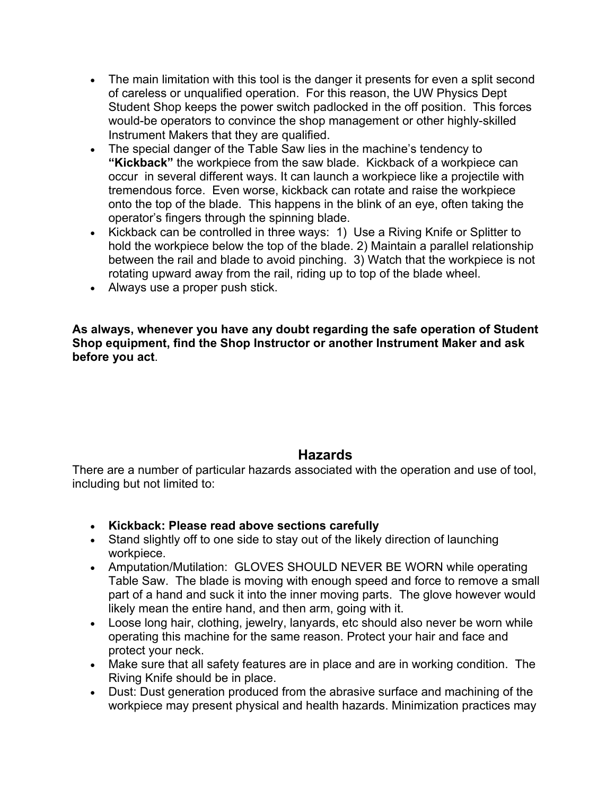- The main limitation with this tool is the danger it presents for even a split second of careless or unqualified operation. For this reason, the UW Physics Dept Student Shop keeps the power switch padlocked in the off position. This forces would-be operators to convince the shop management or other highly-skilled Instrument Makers that they are qualified.
- The special danger of the Table Saw lies in the machine's tendency to **"Kickback"** the workpiece from the saw blade. Kickback of a workpiece can occur in several different ways. It can launch a workpiece like a projectile with tremendous force. Even worse, kickback can rotate and raise the workpiece onto the top of the blade. This happens in the blink of an eye, often taking the operator's fingers through the spinning blade.
- Kickback can be controlled in three ways: 1) Use a Riving Knife or Splitter to hold the workpiece below the top of the blade. 2) Maintain a parallel relationship between the rail and blade to avoid pinching. 3) Watch that the workpiece is not rotating upward away from the rail, riding up to top of the blade wheel.
- Always use a proper push stick.

**As always, whenever you have any doubt regarding the safe operation of Student Shop equipment, find the Shop Instructor or another Instrument Maker and ask before you act**.

### **Hazards**

There are a number of particular hazards associated with the operation and use of tool, including but not limited to:

- **Kickback: Please read above sections carefully**
- Stand slightly off to one side to stay out of the likely direction of launching workpiece.
- Amputation/Mutilation: GLOVES SHOULD NEVER BE WORN while operating Table Saw. The blade is moving with enough speed and force to remove a small part of a hand and suck it into the inner moving parts. The glove however would likely mean the entire hand, and then arm, going with it.
- Loose long hair, clothing, jewelry, lanyards, etc should also never be worn while operating this machine for the same reason. Protect your hair and face and protect your neck.
- Make sure that all safety features are in place and are in working condition. The Riving Knife should be in place.
- Dust: Dust generation produced from the abrasive surface and machining of the workpiece may present physical and health hazards. Minimization practices may